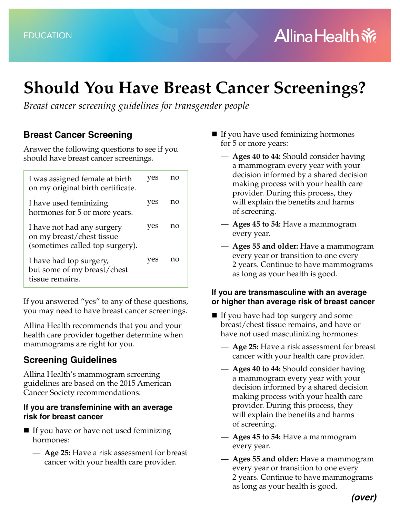# **Should You Have Breast Cancer Screenings?**

*Breast cancer screening guidelines for transgender people*

## **Breast Cancer Screening**

Answer the following questions to see if you should have breast cancer screenings.

| I was assigned female at birth<br>on my original birth certificate.                        | yes | no |
|--------------------------------------------------------------------------------------------|-----|----|
| I have used feminizing<br>hormones for 5 or more years.                                    | yes | no |
| I have not had any surgery<br>on my breast/chest tissue<br>(sometimes called top surgery). | ves | no |
| I have had top surgery,<br>but some of my breast/chest<br>tissue remains.                  | ves | no |

If you answered "yes" to any of these questions, you may need to have breast cancer screenings.

Allina Health recommends that you and your health care provider together determine when mammograms are right for you.

## **Screening Guidelines**

Allina Health's mammogram screening guidelines are based on the 2015 American Cancer Society recommendations:

### **If you are transfeminine with an average risk for breast cancer**

- If you have or have not used feminizing hormones:
	- **Age 25:** Have a risk assessment for breast cancer with your health care provider.
- $\blacksquare$  If you have used feminizing hormones for 5 or more years:
	- **Ages 40 to 44:** Should consider having a mammogram every year with your decision informed by a shared decision making process with your health care provider. During this process, they will explain the benefits and harms of screening.
	- **Ages 45 to 54:** Have a mammogram every year.
	- **Ages 55 and older:** Have a mammogram every year or transition to one every 2 years. Continue to have mammograms as long as your health is good.

#### **If you are transmasculine with an average or higher than average risk of breast cancer**

- $\blacksquare$  If you have had top surgery and some breast/chest tissue remains, and have or have not used masculinizing hormones:
	- **Age 25:** Have a risk assessment for breast cancer with your health care provider.
	- **Ages 40 to 44:** Should consider having a mammogram every year with your decision informed by a shared decision making process with your health care provider. During this process, they will explain the benefits and harms of screening.
	- **Ages 45 to 54:** Have a mammogram every year.
	- **Ages 55 and older:** Have a mammogram every year or transition to one every 2 years. Continue to have mammograms as long as your health is good.

*(over)*